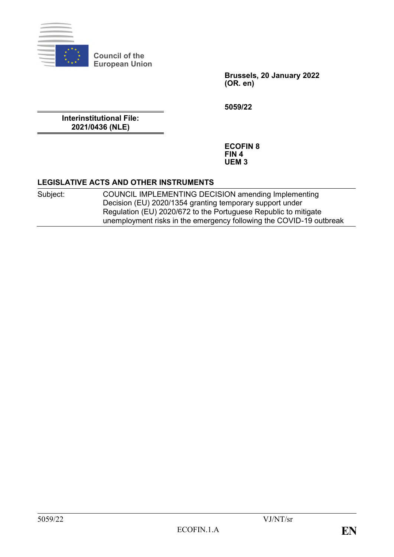

**Council of the European Union**

> **Brussels, 20 January 2022 (OR. en)**

**5059/22**

**Interinstitutional File: 2021/0436 (NLE)**

> **ECOFIN 8 FIN 4 UEM 3**

#### **LEGISLATIVE ACTS AND OTHER INSTRUMENTS**

Subject: COUNCIL IMPLEMENTING DECISION amending Implementing Decision (EU) 2020/1354 granting temporary support under Regulation (EU) 2020/672 to the Portuguese Republic to mitigate unemployment risks in the emergency following the COVID-19 outbreak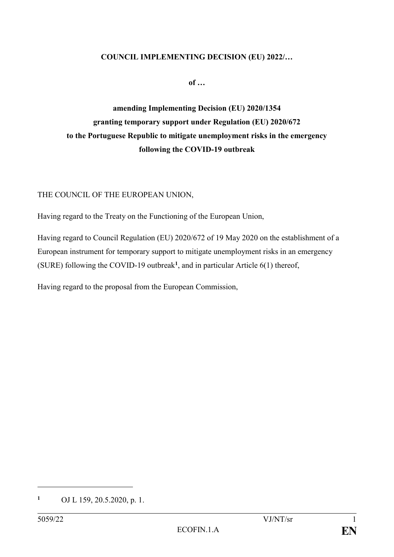#### **COUNCIL IMPLEMENTING DECISION (EU) 2022/…**

**of …**

**amending Implementing Decision (EU) 2020/1354 granting temporary support under Regulation (EU) 2020/672 to the Portuguese Republic to mitigate unemployment risks in the emergency following the COVID-19 outbreak**

THE COUNCIL OF THE EUROPEAN UNION,

Having regard to the Treaty on the Functioning of the European Union,

Having regard to Council Regulation (EU) 2020/672 of 19 May 2020 on the establishment of a European instrument for temporary support to mitigate unemployment risks in an emergency (SURE) following the COVID-19 outbreak**<sup>1</sup>** , and in particular Article 6(1) thereof,

Having regard to the proposal from the European Commission,

1

**<sup>1</sup>** OJ L 159, 20.5.2020, p. 1.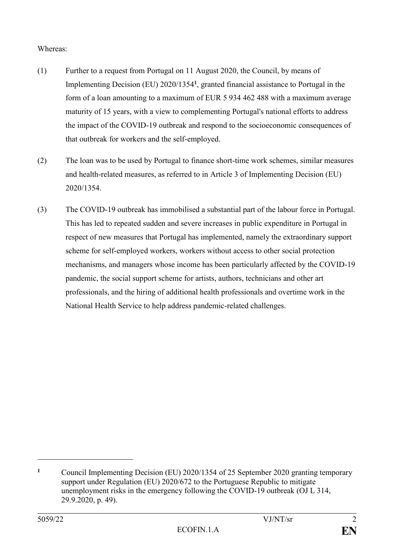# Whereas:

- (1) Further to a request from Portugal on 11 August 2020, the Council, by means of Implementing Decision (EU) 2020/1354**<sup>1</sup>** , granted financial assistance to Portugal in the form of a loan amounting to a maximum of EUR 5 934 462 488 with a maximum average maturity of 15 years, with a view to complementing Portugal's national efforts to address the impact of the COVID-19 outbreak and respond to the socioeconomic consequences of that outbreak for workers and the self-employed.
- (2) The loan was to be used by Portugal to finance short-time work schemes, similar measures and health-related measures, as referred to in Article 3 of Implementing Decision (EU) 2020/1354.
- (3) The COVID-19 outbreak has immobilised a substantial part of the labour force in Portugal. This has led to repeated sudden and severe increases in public expenditure in Portugal in respect of new measures that Portugal has implemented, namely the extraordinary support scheme for self-employed workers, workers without access to other social protection mechanisms, and managers whose income has been particularly affected by the COVID-19 pandemic, the social support scheme for artists, authors, technicians and other art professionals, and the hiring of additional health professionals and overtime work in the National Health Service to help address pandemic-related challenges.

<u>.</u>

**<sup>1</sup>** Council Implementing Decision (EU) 2020/1354 of 25 September 2020 granting temporary support under Regulation (EU) 2020/672 to the Portuguese Republic to mitigate unemployment risks in the emergency following the COVID-19 outbreak (OJ L 314, 29.9.2020, p. 49).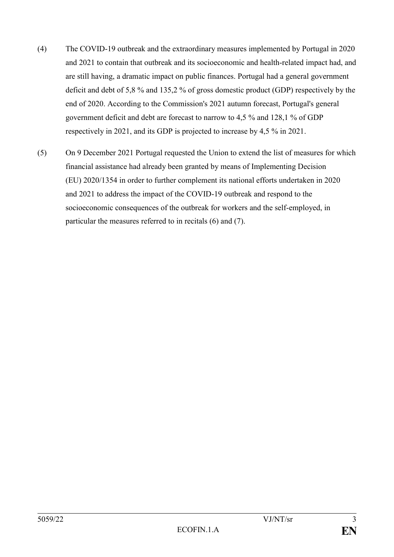- (4) The COVID-19 outbreak and the extraordinary measures implemented by Portugal in 2020 and 2021 to contain that outbreak and its socioeconomic and health-related impact had, and are still having, a dramatic impact on public finances. Portugal had a general government deficit and debt of 5,8 % and 135,2 % of gross domestic product (GDP) respectively by the end of 2020. According to the Commission's 2021 autumn forecast, Portugal's general government deficit and debt are forecast to narrow to 4,5 % and 128,1 % of GDP respectively in 2021, and its GDP is projected to increase by 4,5 % in 2021.
- (5) On 9 December 2021 Portugal requested the Union to extend the list of measures for which financial assistance had already been granted by means of Implementing Decision (EU) 2020/1354 in order to further complement its national efforts undertaken in 2020 and 2021 to address the impact of the COVID-19 outbreak and respond to the socioeconomic consequences of the outbreak for workers and the self-employed, in particular the measures referred to in recitals (6) and (7).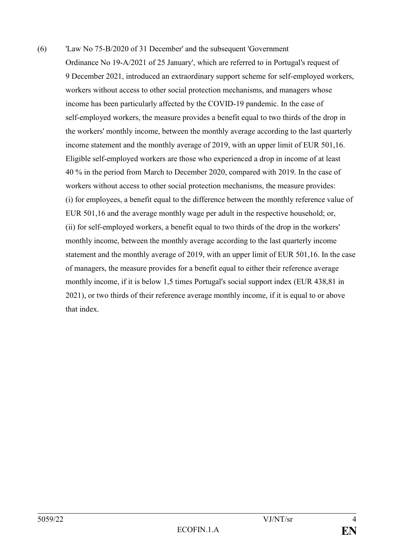(6) 'Law No 75-B/2020 of 31 December' and the subsequent 'Government Ordinance No 19-A/2021 of 25 January', which are referred to in Portugal's request of 9 December 2021, introduced an extraordinary support scheme for self-employed workers, workers without access to other social protection mechanisms, and managers whose income has been particularly affected by the COVID-19 pandemic. In the case of self-employed workers, the measure provides a benefit equal to two thirds of the drop in the workers' monthly income, between the monthly average according to the last quarterly income statement and the monthly average of 2019, with an upper limit of EUR 501,16. Eligible self-employed workers are those who experienced a drop in income of at least 40 % in the period from March to December 2020, compared with 2019. In the case of workers without access to other social protection mechanisms, the measure provides: (i) for employees, a benefit equal to the difference between the monthly reference value of EUR 501,16 and the average monthly wage per adult in the respective household; or, (ii) for self-employed workers, a benefit equal to two thirds of the drop in the workers' monthly income, between the monthly average according to the last quarterly income statement and the monthly average of 2019, with an upper limit of EUR 501,16. In the case of managers, the measure provides for a benefit equal to either their reference average monthly income, if it is below 1,5 times Portugal's social support index (EUR 438,81 in 2021), or two thirds of their reference average monthly income, if it is equal to or above that index.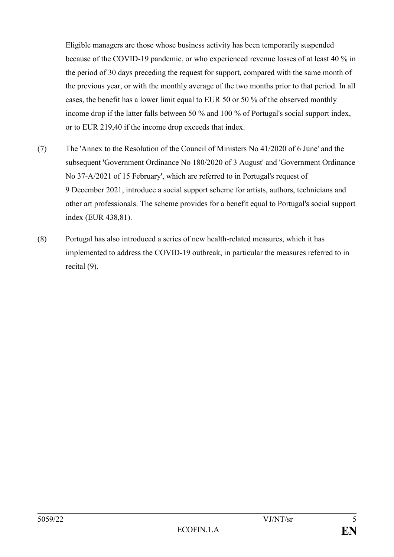Eligible managers are those whose business activity has been temporarily suspended because of the COVID-19 pandemic, or who experienced revenue losses of at least 40 % in the period of 30 days preceding the request for support, compared with the same month of the previous year, or with the monthly average of the two months prior to that period. In all cases, the benefit has a lower limit equal to EUR 50 or 50 % of the observed monthly income drop if the latter falls between 50 % and 100 % of Portugal's social support index, or to EUR 219,40 if the income drop exceeds that index.

- (7) The 'Annex to the Resolution of the Council of Ministers No 41/2020 of 6 June' and the subsequent 'Government Ordinance No 180/2020 of 3 August' and 'Government Ordinance No 37-A/2021 of 15 February', which are referred to in Portugal's request of 9 December 2021, introduce a social support scheme for artists, authors, technicians and other art professionals. The scheme provides for a benefit equal to Portugal's social support index (EUR 438,81).
- (8) Portugal has also introduced a series of new health-related measures, which it has implemented to address the COVID-19 outbreak, in particular the measures referred to in recital (9).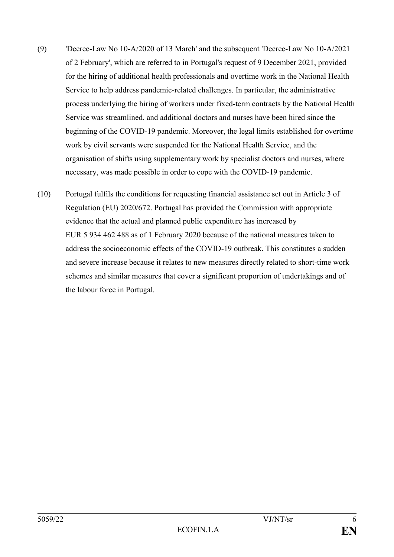- (9) 'Decree-Law No 10-A/2020 of 13 March' and the subsequent 'Decree-Law No 10-A/2021 of 2 February', which are referred to in Portugal's request of 9 December 2021, provided for the hiring of additional health professionals and overtime work in the National Health Service to help address pandemic-related challenges. In particular, the administrative process underlying the hiring of workers under fixed-term contracts by the National Health Service was streamlined, and additional doctors and nurses have been hired since the beginning of the COVID-19 pandemic. Moreover, the legal limits established for overtime work by civil servants were suspended for the National Health Service, and the organisation of shifts using supplementary work by specialist doctors and nurses, where necessary, was made possible in order to cope with the COVID-19 pandemic.
- (10) Portugal fulfils the conditions for requesting financial assistance set out in Article 3 of Regulation (EU) 2020/672. Portugal has provided the Commission with appropriate evidence that the actual and planned public expenditure has increased by EUR 5 934 462 488 as of 1 February 2020 because of the national measures taken to address the socioeconomic effects of the COVID-19 outbreak. This constitutes a sudden and severe increase because it relates to new measures directly related to short-time work schemes and similar measures that cover a significant proportion of undertakings and of the labour force in Portugal.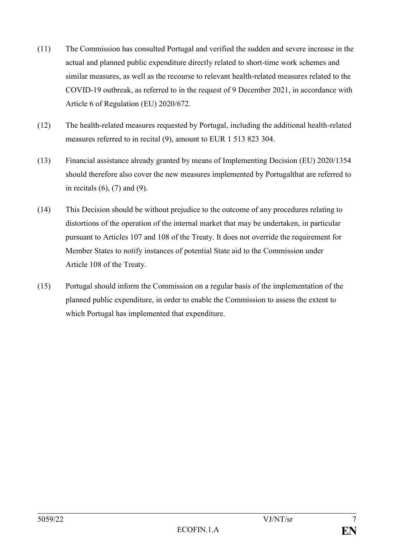- (11) The Commission has consulted Portugal and verified the sudden and severe increase in the actual and planned public expenditure directly related to short-time work schemes and similar measures, as well as the recourse to relevant health-related measures related to the COVID-19 outbreak, as referred to in the request of 9 December 2021, in accordance with Article 6 of Regulation (EU) 2020/672.
- (12) The health-related measures requested by Portugal, including the additional health-related measures referred to in recital (9), amount to EUR 1 513 823 304.
- (13) Financial assistance already granted by means of Implementing Decision (EU) 2020/1354 should therefore also cover the new measures implemented by Portugalthat are referred to in recitals (6), (7) and (9).
- (14) This Decision should be without prejudice to the outcome of any procedures relating to distortions of the operation of the internal market that may be undertaken, in particular pursuant to Articles 107 and 108 of the Treaty. It does not override the requirement for Member States to notify instances of potential State aid to the Commission under Article 108 of the Treaty.
- (15) Portugal should inform the Commission on a regular basis of the implementation of the planned public expenditure, in order to enable the Commission to assess the extent to which Portugal has implemented that expenditure.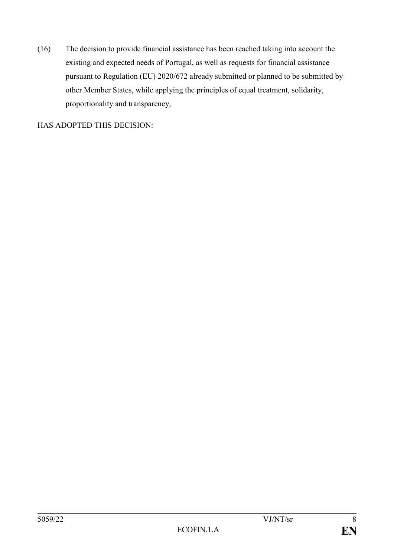(16) The decision to provide financial assistance has been reached taking into account the existing and expected needs of Portugal, as well as requests for financial assistance pursuant to Regulation (EU) 2020/672 already submitted or planned to be submitted by other Member States, while applying the principles of equal treatment, solidarity, proportionality and transparency,

HAS ADOPTED THIS DECISION: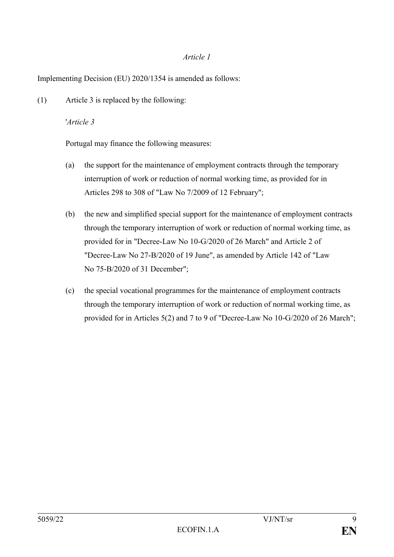## *Article 1*

Implementing Decision (EU) 2020/1354 is amended as follows:

(1) Article 3 is replaced by the following:

## '*Article 3*

Portugal may finance the following measures:

- (a) the support for the maintenance of employment contracts through the temporary interruption of work or reduction of normal working time, as provided for in Articles 298 to 308 of "Law No 7/2009 of 12 February";
- (b) the new and simplified special support for the maintenance of employment contracts through the temporary interruption of work or reduction of normal working time, as provided for in "Decree-Law No 10-G/2020 of 26 March" and Article 2 of "Decree-Law No 27-B/2020 of 19 June", as amended by Article 142 of "Law No 75-B/2020 of 31 December";
- (c) the special vocational programmes for the maintenance of employment contracts through the temporary interruption of work or reduction of normal working time, as provided for in Articles 5(2) and 7 to 9 of "Decree-Law No 10-G/2020 of 26 March";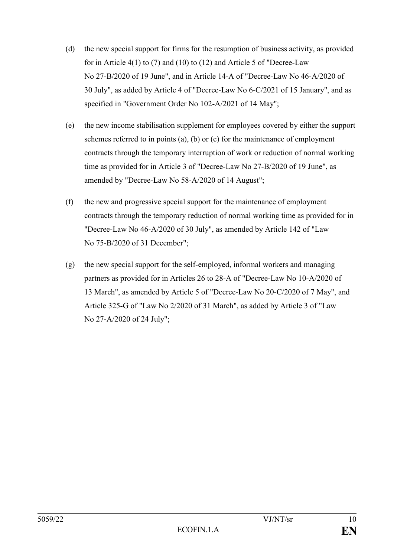- (d) the new special support for firms for the resumption of business activity, as provided for in Article 4(1) to (7) and (10) to (12) and Article 5 of "Decree-Law No 27-B/2020 of 19 June", and in Article 14-A of "Decree-Law No 46-A/2020 of 30 July", as added by Article 4 of "Decree-Law No 6-C/2021 of 15 January", and as specified in "Government Order No 102-A/2021 of 14 May";
- (e) the new income stabilisation supplement for employees covered by either the support schemes referred to in points (a), (b) or (c) for the maintenance of employment contracts through the temporary interruption of work or reduction of normal working time as provided for in Article 3 of "Decree-Law No 27-B/2020 of 19 June", as amended by "Decree-Law No 58-A/2020 of 14 August";
- (f) the new and progressive special support for the maintenance of employment contracts through the temporary reduction of normal working time as provided for in "Decree-Law No 46-A/2020 of 30 July", as amended by Article 142 of "Law No 75-B/2020 of 31 December";
- (g) the new special support for the self-employed, informal workers and managing partners as provided for in Articles 26 to 28-A of "Decree-Law No 10-A/2020 of 13 March", as amended by Article 5 of "Decree-Law No 20-C/2020 of 7 May", and Article 325-G of "Law No 2/2020 of 31 March", as added by Article 3 of "Law No 27-A/2020 of 24 July";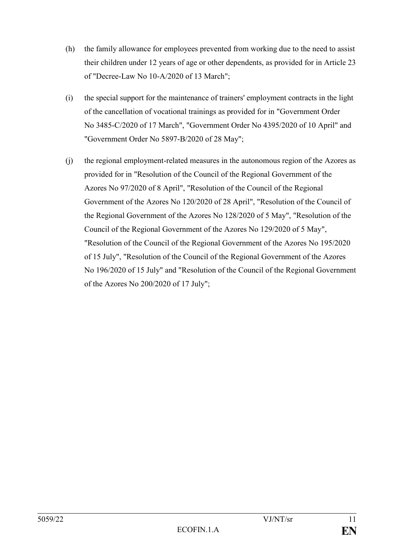- (h) the family allowance for employees prevented from working due to the need to assist their children under 12 years of age or other dependents, as provided for in Article 23 of "Decree-Law No 10-A/2020 of 13 March";
- (i) the special support for the maintenance of trainers' employment contracts in the light of the cancellation of vocational trainings as provided for in "Government Order No 3485-C/2020 of 17 March", "Government Order No 4395/2020 of 10 April" and "Government Order No 5897-B/2020 of 28 May";
- (j) the regional employment-related measures in the autonomous region of the Azores as provided for in "Resolution of the Council of the Regional Government of the Azores No 97/2020 of 8 April", "Resolution of the Council of the Regional Government of the Azores No 120/2020 of 28 April", "Resolution of the Council of the Regional Government of the Azores No 128/2020 of 5 May", "Resolution of the Council of the Regional Government of the Azores No 129/2020 of 5 May", "Resolution of the Council of the Regional Government of the Azores No 195/2020 of 15 July", "Resolution of the Council of the Regional Government of the Azores No 196/2020 of 15 July" and "Resolution of the Council of the Regional Government of the Azores No 200/2020 of 17 July";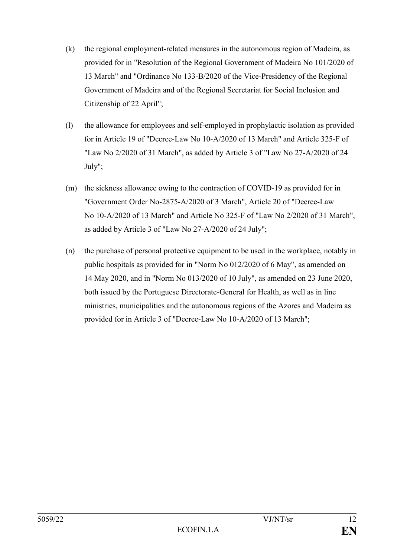- (k) the regional employment-related measures in the autonomous region of Madeira, as provided for in "Resolution of the Regional Government of Madeira No 101/2020 of 13 March" and "Ordinance No 133-B/2020 of the Vice-Presidency of the Regional Government of Madeira and of the Regional Secretariat for Social Inclusion and Citizenship of 22 April";
- (l) the allowance for employees and self-employed in prophylactic isolation as provided for in Article 19 of "Decree-Law No 10-A/2020 of 13 March" and Article 325-F of "Law No 2/2020 of 31 March", as added by Article 3 of "Law No 27-A/2020 of 24 July";
- (m) the sickness allowance owing to the contraction of COVID-19 as provided for in "Government Order No-2875-A/2020 of 3 March", Article 20 of "Decree-Law No 10-A/2020 of 13 March" and Article No 325-F of "Law No 2/2020 of 31 March", as added by Article 3 of "Law No 27-A/2020 of 24 July";
- (n) the purchase of personal protective equipment to be used in the workplace, notably in public hospitals as provided for in "Norm No 012/2020 of 6 May", as amended on 14 May 2020, and in "Norm No 013/2020 of 10 July", as amended on 23 June 2020, both issued by the Portuguese Directorate-General for Health, as well as in line ministries, municipalities and the autonomous regions of the Azores and Madeira as provided for in Article 3 of "Decree-Law No 10-A/2020 of 13 March";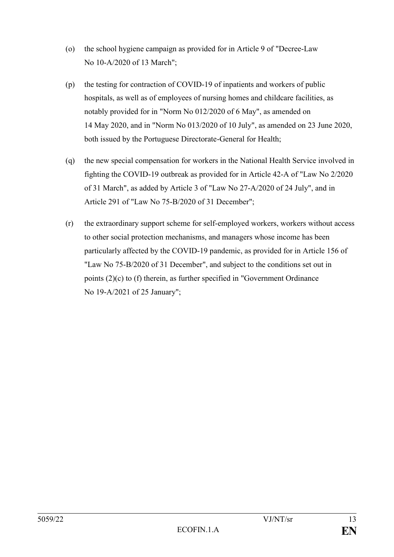- (o) the school hygiene campaign as provided for in Article 9 of "Decree-Law No 10-A/2020 of 13 March";
- (p) the testing for contraction of COVID-19 of inpatients and workers of public hospitals, as well as of employees of nursing homes and childcare facilities, as notably provided for in "Norm No 012/2020 of 6 May", as amended on 14 May 2020, and in "Norm No 013/2020 of 10 July", as amended on 23 June 2020, both issued by the Portuguese Directorate-General for Health;
- (q) the new special compensation for workers in the National Health Service involved in fighting the COVID-19 outbreak as provided for in Article 42-A of "Law No 2/2020 of 31 March", as added by Article 3 of "Law No 27-A/2020 of 24 July", and in Article 291 of "Law No 75-B/2020 of 31 December";
- (r) the extraordinary support scheme for self-employed workers, workers without access to other social protection mechanisms, and managers whose income has been particularly affected by the COVID-19 pandemic, as provided for in Article 156 of "Law No 75-B/2020 of 31 December", and subject to the conditions set out in points (2)(c) to (f) therein, as further specified in "Government Ordinance No 19-A/2021 of 25 January";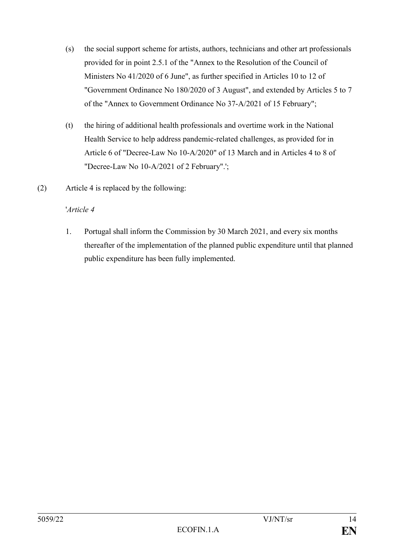- (s) the social support scheme for artists, authors, technicians and other art professionals provided for in point 2.5.1 of the "Annex to the Resolution of the Council of Ministers No 41/2020 of 6 June", as further specified in Articles 10 to 12 of "Government Ordinance No 180/2020 of 3 August", and extended by Articles 5 to 7 of the "Annex to Government Ordinance No 37-A/2021 of 15 February";
- (t) the hiring of additional health professionals and overtime work in the National Health Service to help address pandemic-related challenges, as provided for in Article 6 of "Decree-Law No 10-A/2020" of 13 March and in Articles 4 to 8 of "Decree-Law No 10-A/2021 of 2 February".';
- (2) Article 4 is replaced by the following:

# '*Article 4*

1. Portugal shall inform the Commission by 30 March 2021, and every six months thereafter of the implementation of the planned public expenditure until that planned public expenditure has been fully implemented.